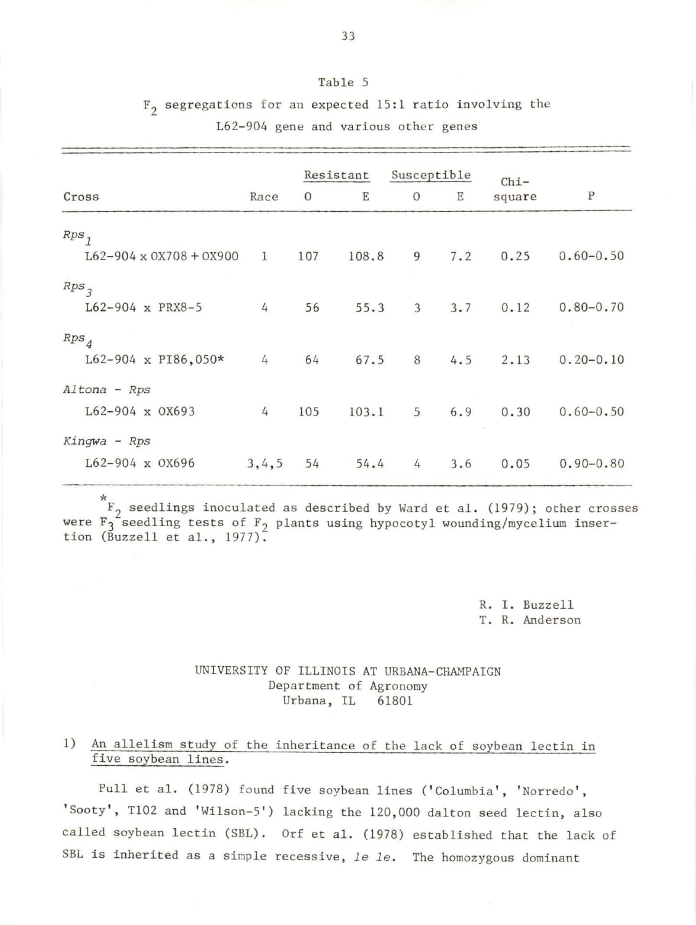## Table 5

 $F_2$  segregations for an expected 15:1 ratio involving the L62-904 gene and various other genes

|                                       |              | Resistant    |       | Susceptible    |     | $Chi-$ |               |
|---------------------------------------|--------------|--------------|-------|----------------|-----|--------|---------------|
| Cross                                 | Race         | $\mathbf{O}$ | Ε     | $\circ$        | Ε   | square | ${\bf P}$     |
| $Rps$ <sub>1</sub>                    |              |              |       |                |     |        |               |
| $L62 - 904 \times 0X708 + 0X900$      | $\mathbf{1}$ | 107          | 108.8 | 9              | 7.2 | 0.25   | $0.60 - 0.50$ |
| Rps <sub>3</sub><br>L62-904 x PRX8-5  | 4            | 56           | 55.3  | 3 <sup>1</sup> | 3.7 | 0.12   | $0.80 - 0.70$ |
| $Rps_4$<br>$L62-904 \times P186,050*$ | 4            | 64           | 67.5  | 8              | 4.5 | 2.13   | $0.20 - 0.10$ |
| Altona - Rps<br>L62-904 x 0X693       | 4            | 105          | 103.1 | 5 <sup>5</sup> | 6.9 | 0.30   | $0.60 - 0.50$ |
| $Kingwa$ - $Rps$<br>L62-904 x 0X696   | 3, 4, 5      | 54           | 54.4  | 4              | 3.6 | 0.05   | $0.90 - 0.80$ |

 $*$   $F_2$  seedlings inoculated as described by Ward et al. (1979); other crosses were  $F_3^2$  seedling tests of  $F_2$  plants using hypocotyl wounding/mycelium inser-<br>tion (Buzzell et al., 1977). tion (Buzzell et al.,  $1977$ ).

> R. I. Buzzell T. R. Anderson

## UNIVERSITY OF ILLINOIS AT URBANA- CHAMPAIGN Department of Agronomy Urbana, IL 61801

# 1) An allelism study of the inheritance of the lack of soybean lectin in five soybean lines.

Pull et al. (1978) found five soybean lines ('Columbia', 'Norredo', 'Sooty', T102 and 'Wilson-5') lacking the 120,000 dalton seed lectin, also called soybean lectin (SBL). Orf et al. (1978) established that the lack of SBL is inherited as a simple recessive, *le le*. The homozygous dominant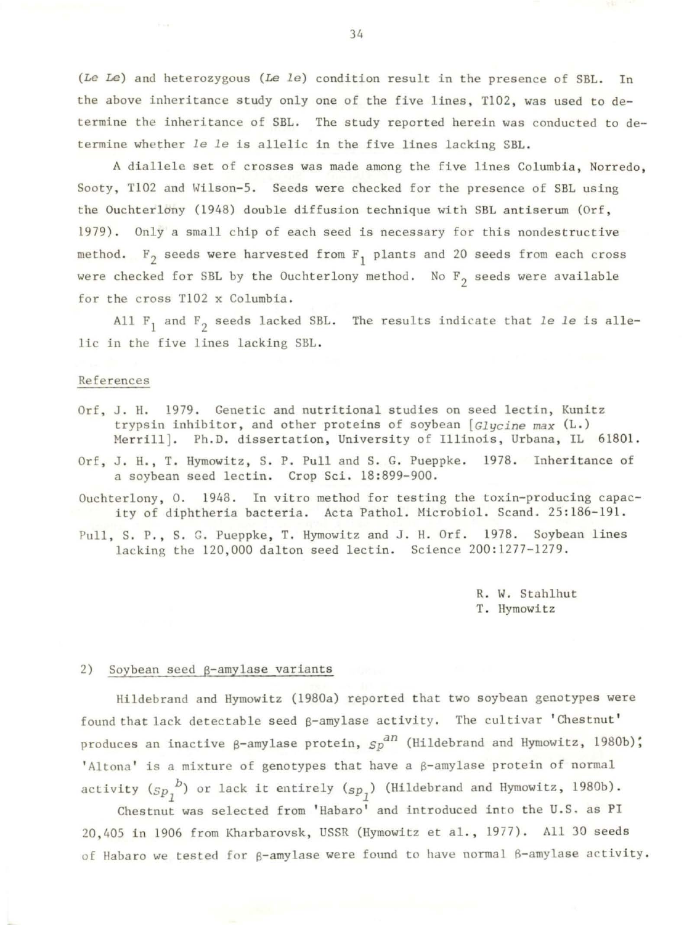*(Le Le)* and heterozygous (Le *le)* condition result in the presence of SBL. In the above inheritance study only one of the five lines, T102, was used to determine the inheritance of SBL. The study reported herein was conducted to determine whether *le le* is allelic in the five lines lacking SBL .

A diallele set of crosses was made among the five lines Columbia, Norredo, Sooty, Tl02 and Wilson-5. Seeds were checked for the presence of SBL using the Ouchterlony (1948) double diffusion technique with SBL antiserum (Orf, 1979) . Only a small chip of each seed is necessary for this nondestructive method.  $F_2$  seeds were harvested from  $F_1$  plants and 20 seeds from each cross were checked for SBL by the Ouchterlony method. No  $F_2$  seeds were available for the cross Tl02 x Columbia.

All  $F_1$  and  $F_2$  seeds lacked SBL. The results indicate that *le le* is allelic in the five lines lacking SBL .

#### References

- Orf, J. H. 1979. Genetic and nutritional studies on seed lectin, Kunitz trypsin inhibitor, and other proteins of soybean *[Glycine max* (L.) Merrill]. Ph.D. dissertation, University of Illinois, Urbana, IL 61801.
- Orf, J. H., T. Hymowitz, S. P. Pull and S. G. Pueppke. 1978. Inheritance of a soybean seed lectin. Crop Sci. 18:899-900.
- Ouchterlony, O. 1948. In vitro method for testing the toxin-producing capacity of diphtheria bacteria. Acta Pathol. Microbiol. Scand. 25:186-191.
- Pull, S. P., S. G. Pueppke, T. Hymowitz and J. H. Orf. 1978. Soybean lines lacking the 120,000 dalton seed lectin. Science 200:1277-1279.

R. W. Stahlhut T. Hymowitz

### 2) Soybean seed  $\beta$ -amylase variants

Hildebrand and Hymowitz (1980a) reported that two soybean genotypes were found that lack detectable seed  $\beta$ -amylase activity. The cultivar 'Chestnut' produces an inactive  $\beta$ -amylase protein,  $\delta p^{2n}$  (Hildebrand and Hymowitz, 1980b); 'Altona' is a mixture of genotypes that have a  $\beta$ -amylase protein of normal activity  $(s_p, b)$  or lack it entirely  $(s_p, )$  (Hildebrand and Hymowitz, 1980b).

Chestnut was selected from 'Habaro' and introduced into the U.S. as PI 20,405 in 1906 from Kharbarovsk, USSR (Hymowitz et al., 1977). All 30 seeds of Habaro we tested for  $\beta$ -amylase were found to have normal  $\beta$ -amylase activity.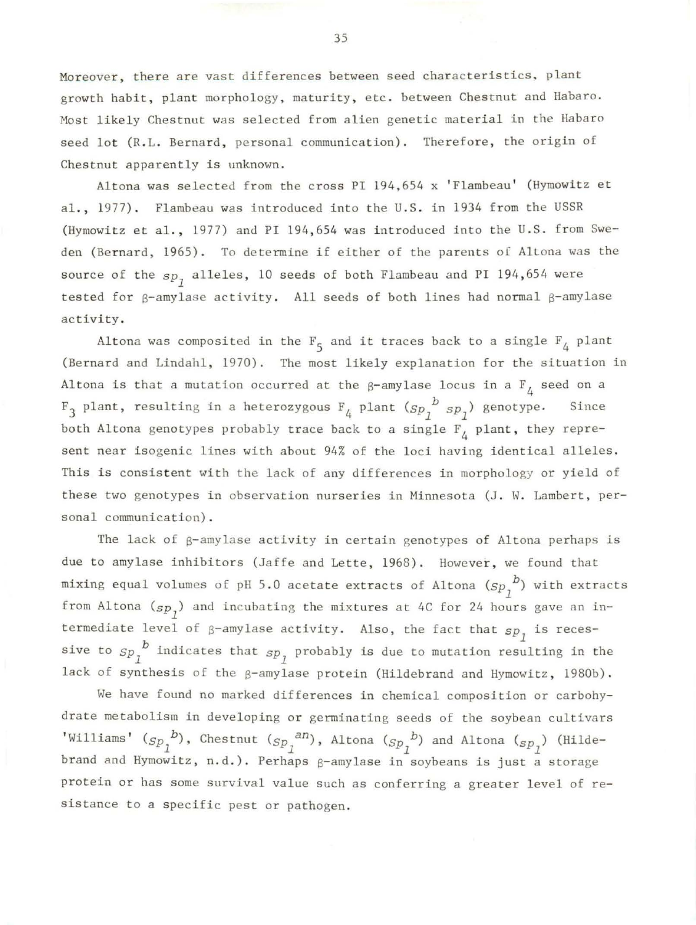Moreover, there are vast differences between seed characteristics, plant growth habit, plant morphology, maturity, etc. between Chestnut and Habaro. Most likely Chestnut was selected from alien genetic material in the Habaro seed lot (R.L. Bernard, personal communication). Therefore, the origin of Chestnut apparently is unknown.

Altona was selected from the cross PI 194,654 x 'Flambeau' (Hymowitz et al., 1977). Flambeau was introduced into the U.S. in 1934 from the USSR (Hymowitz et al., 1977) and PI 194,654 was introduced into the U.S. from Sweden (Bernard, 1965). To determine if either of the parents of Altona was the source of the  $sp_1$  alleles, 10 seeds of both Flambeau and PI 194,654 were tested for  $\beta$ -amylase activity. All seeds of both lines had normal  $\beta$ -amylase activity.

Altona was composited in the  $F_5$  and it traces back to a single  $F_4$  plant (Bernard and Lindahl, 1970). The most likely explanation for the situation in Altona is that a mutation occurred at the  $\beta$ -amylase locus in a F<sub>1</sub> seed on a  $F_3$  plant, resulting in a heterozygous  $F_4$  plant  $(sp_1^b s p_1)$  genotype. Since both Altona genotypes probably trace back to a single  $F_{\mathcal{A}}$  plant, they represent near isogenic lines with about 94% of the loci having identical alleles. This is consistent with the lack of any differences in morphology or yield of these two genotypes in observation nurseries in Minnesota (J. W. Lambert, personal communication).

The lack of  $\beta$ -amylase activity in certain genotypes of Altona perhaps is due to amylase inhibitors (Jaffe and Lette, 1968). However, we found that mixing equal volumes of pH 5.0 acetate extracts of Altona  $({_{Sp}}_1^{~D})$  with extracts from Altona  $(s_{p_1})$  and incubating the mixtures at 4C for 24 hours gave an intermediate level of  $\beta$ -amylase activity. Also, the fact that  $sp<sub>1</sub>$  is recessive to  ${Sp}_1^{-b}$  indicates that  ${Sp}_1$  probably is due to mutation resulting in the lack of synthesis of the  $\beta$ -amylase protein (Hildebrand and Hymowitz, 1980b).

We have found no marked differences in chemical composition or carbohydrate metabolism in developing or germinating seeds of the soybean cultivars 'Williams'  $({_{Sp}}_1^{~~b})$ , Chestnut  $({_{Sp}}_1^{~~\!}a n)$ , Altona  $({_{Sp}}_1^{~~b})$  and Altona  $({_{Sp}}_1^{~~b})$  (Hildebrand and Hymowitz, n.d.). Perhaps g-amylase in soybeans is just a storage protein or has some survival value such as conferring a greater level of resistance to a specific pest or pathogen.

35